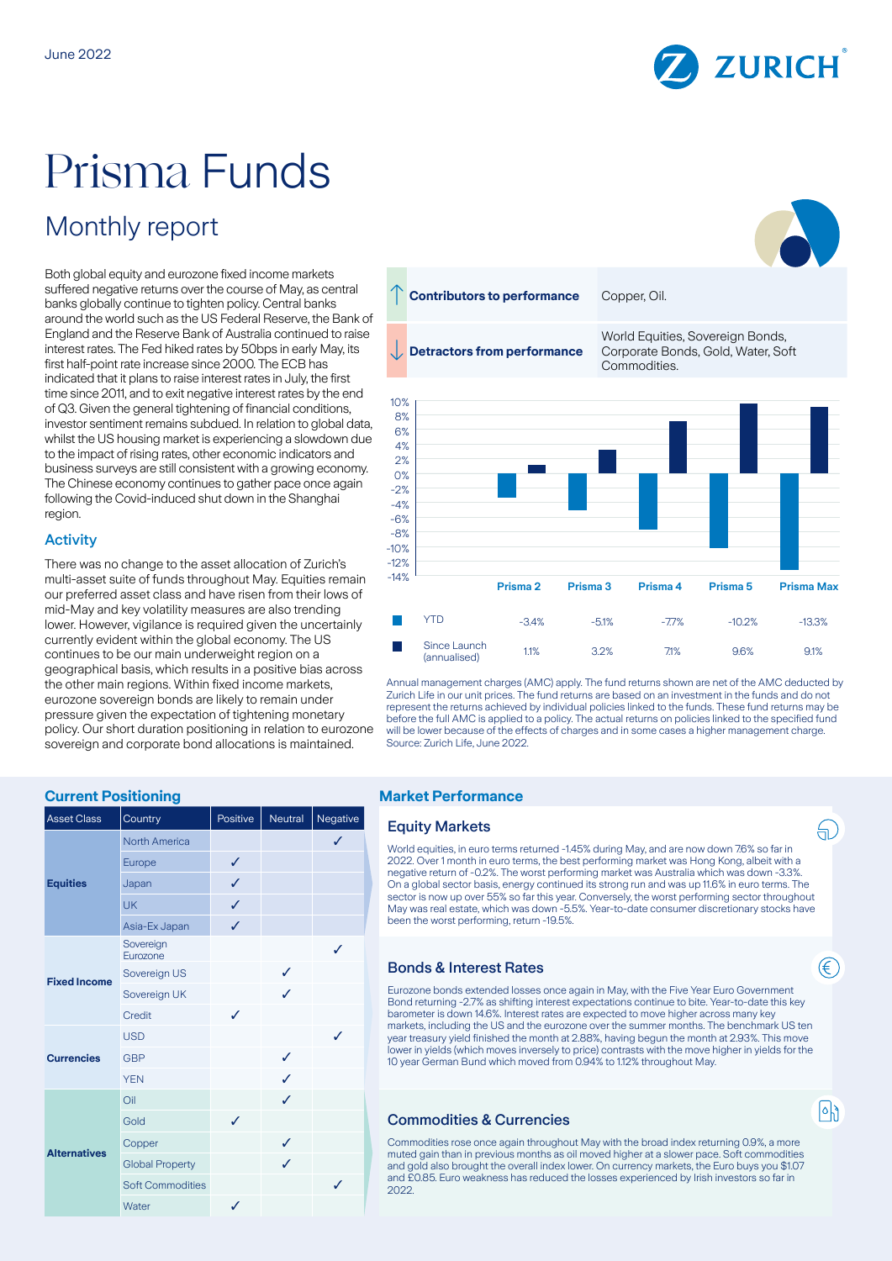

# Prisma Funds

# Monthly report

Both global equity and eurozone fixed income markets suffered negative returns over the course of May, as central banks globally continue to tighten policy. Central banks around the world such as the US Federal Reserve, the Bank of England and the Reserve Bank of Australia continued to raise interest rates. The Fed hiked rates by 50bps in early May, its first half-point rate increase since 2000. The ECB has indicated that it plans to raise interest rates in July, the first time since 2011, and to exit negative interest rates by the end of Q3. Given the general tightening of financial conditions, investor sentiment remains subdued. In relation to global data, whilst the US housing market is experiencing a slowdown due to the impact of rising rates, other economic indicators and business surveys are still consistent with a growing economy. The Chinese economy continues to gather pace once again following the Covid-induced shut down in the Shanghai region.

# **Activity**

There was no change to the asset allocation of Zurich's multi-asset suite of funds throughout May. Equities remain our preferred asset class and have risen from their lows of mid-May and key volatility measures are also trending lower. However, vigilance is required given the uncertainly currently evident within the global economy. The US continues to be our main underweight region on a geographical basis, which results in a positive bias across the other main regions. Within fixed income markets, eurozone sovereign bonds are likely to remain under pressure given the expectation of tightening monetary policy. Our short duration positioning in relation to eurozone sovereign and corporate bond allocations is maintained.

# **Contributors to performance** Copper, Oil. World Equities, Sovereign Bonds, **Detractors from performance** Corporate Bonds, Gold, Water, Soft **Commodities** 10% 8% 6% 4% 2% 0% -2%  $-4%$ -6% -8%  $-10%$ -12%  $-14%$ **Prisma 2 Prisma 3 Prisma 4 Prisma 5 Prisma Max** F YTD -3.4% -5.1% -7.7% -10.2% -13.3%

Annual management charges (AMC) apply. The fund returns shown are net of the AMC deducted by Zurich Life in our unit prices. The fund returns are based on an investment in the funds and do not represent the returns achieved by individual policies linked to the funds. These fund returns may be before the full AMC is applied to a policy. The actual returns on policies linked to the specified fund will be lower because of the effects of charges and in some cases a higher management charge. Source: Zurich Life, June 2022.

(annualised) 1.1% 3.2% 7.1% 9.6% 9.1%

# **Current Positioning Current Positioning According to According Market Performance**

| <b>Asset Class</b>  | Country                 | Positive | Neutral | Negative |
|---------------------|-------------------------|----------|---------|----------|
| <b>Equities</b>     | North America           |          |         | ✓        |
|                     | Europe                  | ✓        |         |          |
|                     | Japan                   | ✓        |         |          |
|                     | <b>UK</b>               | ✓        |         |          |
|                     | Asia-Ex Japan           | ✓        |         |          |
| <b>Fixed Income</b> | Sovereign<br>Eurozone   |          |         | ✓        |
|                     | Sovereign US            |          | ✓       |          |
|                     | Sovereign UK            |          | ✓       |          |
|                     | Credit                  | ✓        |         |          |
| <b>Currencies</b>   | <b>USD</b>              |          |         | ℐ        |
|                     | <b>GBP</b>              |          | ✓       |          |
|                     | <b>YEN</b>              |          | ✓       |          |
| <b>Alternatives</b> | Oil                     |          | ✓       |          |
|                     | Gold                    | J        |         |          |
|                     | Copper                  |          | ✓       |          |
|                     | <b>Global Property</b>  |          | J       |          |
|                     | <b>Soft Commodities</b> |          |         | ✓        |
|                     | Water                   | ✓        |         |          |

Since Launch

#### **Equity Markets**

World equities, in euro terms returned -1.45% during May, and are now down 7.6% so far in 2022. Over 1 month in euro terms, the best performing market was Hong Kong, albeit with a negative return of -0.2%. The worst performing market was Australia which was down -3.3%. On a global sector basis, energy continued its strong run and was up 11.6% in euro terms. The sector is now up over 55% so far this year. Conversely, the worst performing sector throughout May was real estate, which was down -5.5%. Year-to-date consumer discretionary stocks have been the worst performing, return -19.5%.

## Bonds & Interest Rates

Eurozone bonds extended losses once again in May, with the Five Year Euro Government Bond returning -2.7% as shifting interest expectations continue to bite. Year-to-date this key barometer is down 14.6%. Interest rates are expected to move higher across many key markets, including the US and the eurozone over the summer months. The benchmark US ten year treasury yield finished the month at 2.88%, having begun the month at 2.93%. This move lower in yields (which moves inversely to price) contrasts with the move higher in yields for the 10 year German Bund which moved from 0.94% to 1.12% throughout May.

# Commodities & Currencies

Commodities rose once again throughout May with the broad index returning 0.9%, a more muted gain than in previous months as oil moved higher at a slower pace. Soft commodities and gold also brought the overall index lower. On currency markets, the Euro buys you \$1.07 and £0.85. Euro weakness has reduced the losses experienced by Irish investors so far in 2022.



₩.

 $|\circ|$ ا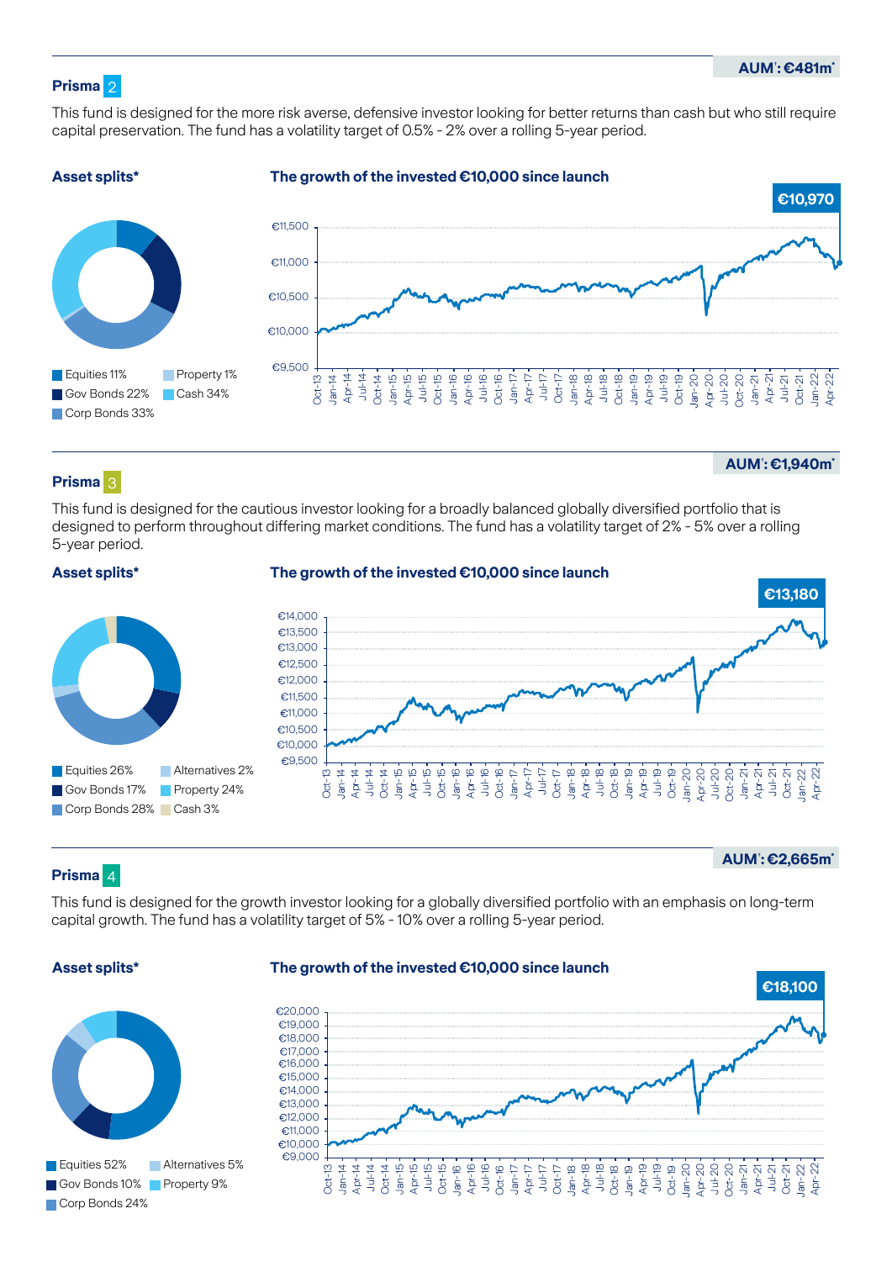# **Prisma** 2

This fund is designed for the more risk averse, defensive investor looking for better returns than cash but who still require capital preservation. The fund has a volatility target of 0.5% - 2% over a rolling 5-year period.



# **Prisma** 3

**AUM**† **: €1,940m\***

This fund is designed for the cautious investor looking for a broadly balanced globally diversified portfolio that is designed to perform throughout differing market conditions. The fund has a volatility target of 2% - 5% over a rolling 5-year period.

# **Asset splits\***

# **The growth of the invested €10,000 since launch**



# **Prisma** 4

**AUM**† **: €2,665m\***

This fund is designed for the growth investor looking for a globally diversified portfolio with an emphasis on long-term capital growth. The fund has a volatility target of 5% - 10% over a rolling 5-year period.

# **Asset splits\***

Equities 52%

Corp Bonds 24%

Gov Bonds 10% Property 9%

# **The growth of the invested €10,000 since launch**

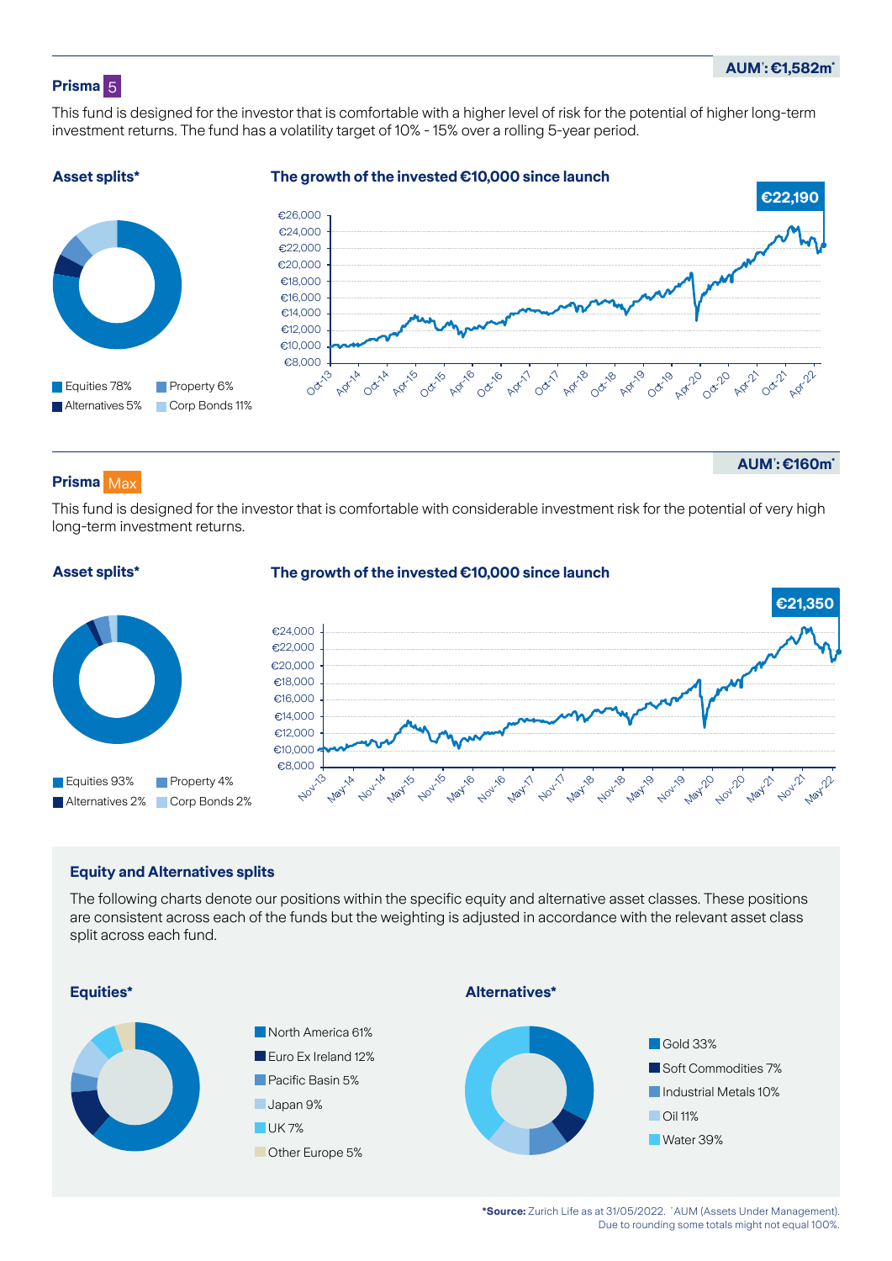# **Prisma** 5

This fund is designed for the investor that is comfortable with a higher level of risk for the potential of higher long-term investment returns. The fund has a volatility target of 10% - 15% over a rolling 5-year period.



# **Prisma** Max

**Asset splits\***

**AUM**† **: €160m\***

This fund is designed for the investor that is comfortable with considerable investment risk for the potential of very high long-term investment returns.



# **Equity and Alternatives splits**

The following charts denote our positions within the specific equity and alternative asset classes. These positions are consistent across each of the funds but the weighting is adjusted in accordance with the relevant asset class split across each fund.